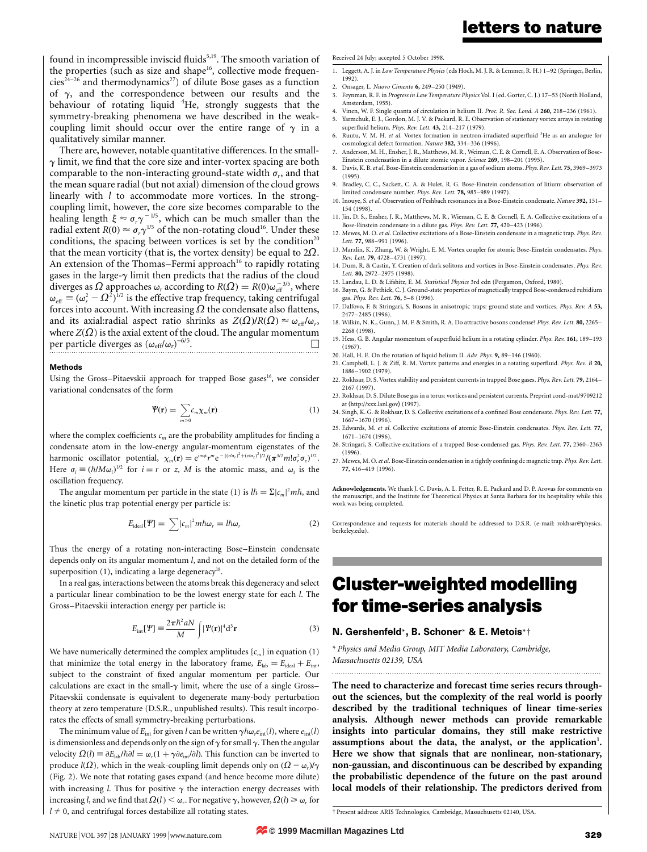found in incompressible inviscid fluids<sup>5,19</sup>. The smooth variation of the properties (such as size and shape<sup>16</sup>, collective mode frequen $cies<sup>24-26</sup>$  and thermodynamics<sup>27</sup>) of dilute Bose gases as a function of  $\gamma$ , and the correspondence between our results and the behaviour of rotating liquid <sup>4</sup>He, strongly suggests that the symmetry-breaking phenomena we have described in the weakcoupling limit should occur over the entire range of  $\gamma$  in a qualitatively similar manner.

There are, however, notable quantitative differences. In the small- $\gamma$  limit, we find that the core size and inter-vortex spacing are both comparable to the non-interacting ground-state width  $\sigma_r$ , and that the mean square radial (but not axial) dimension of the cloud grows linearly with *l* to accommodate more vortices. In the strongcoupling limit, however, the core size becomes comparable to the healing length  $\xi \approx \sigma_r \gamma^{-1/5}$ , which can be much smaller than the radial extent  $R(0) \approx \sigma_r \gamma^{1/5}$  of the non-rotating cloud<sup>16</sup>. Under these conditions, the spacing between vortices is set by the condition<sup>20</sup> that the mean vorticity (that is, the vortex density) be equal to  $2\Omega$ . An extension of the Thomas-Fermi approach<sup>16</sup> to rapidly rotating gases in the large- $\gamma$  limit then predicts that the radius of the cloud diverges as  $\Omega$  approaches  $\omega_r$  according to  $R(\Omega) = R(0)\omega_{\text{eff}}^{-3/5}$ , where  $\omega_{\text{eff}} \equiv (\omega_r^2 - \Omega^2)^{1/2}$  is the effective trap frequency, taking centrifugal forces into account. With increasing  $\Omega$  the condensate also flattens, and its axial:radial aspect ratio shrinks as  $Z(\Omega)/R(\Omega) \approx \omega_{eff}/\omega_r$ , where  $Z(\Omega)$  is the axial extent of the cloud. The angular momentum per particle diverges as  $(\omega_{\text{eff}}/\omega_r)^{-6/5}$ .

### Methods

Using the Gross-Pitaevskii approach for trapped Bose gases<sup>16</sup>, we consider variational condensates of the form

$$
\Psi(\mathbf{r}) = \sum_{m>0} c_m \chi_m(\mathbf{r}) \tag{1}
$$

where the complex coefficients  $c_m$  are the probability amplitudes for finding a condensate atom in the low-energy angular-momentum eigenstates of the harmonic oscillator potential,  $\chi_m(\mathbf{r}) = e^{im\phi} r^m e^{-[(r/\sigma_r)^2 + (z/\sigma_z)^2]/2} / (\pi^{3/2} m! \sigma_r^2 \sigma_z)^{1/2}$ . Here  $\sigma_i \equiv (\hbar / M \omega_i)^{1/2}$  for  $i = r$  or z, M is the atomic mass, and  $\omega_i$  is the oscillation frequency.

The angular momentum per particle in the state (1) is  $l\hbar = \Sigma |c_m|^2 m\hbar$ , and the kinetic plus trap potential energy per particle is:

$$
E_{\text{ideal}}[\Psi] = \sum |c_m|^2 m \hbar \omega_r = l \hbar \omega_r \tag{2}
$$

Thus the energy of a rotating non-interacting Bose-Einstein condensate depends only on its angular momentum l, and not on the detailed form of the superposition  $(1)$ , indicating a large degeneracy<sup>18</sup>.

In a real gas, interactions between the atoms break this degeneracy and select a particular linear combination to be the lowest energy state for each l. The Gross-Pitaevskii interaction energy per particle is:

$$
E_{int}[\Psi] \equiv \frac{2\pi\hbar^2 aN}{M} \int |\Psi(\mathbf{r})|^4 d^3 \mathbf{r}
$$
 (3)

We have numerically determined the complex amplitudes  $\{c_m\}$  in equation (1) that minimize the total energy in the laboratory frame,  $E_{lab} = E_{ideal} + E_{int}$ , subject to the constraint of fixed angular momentum per particle. Our calculations are exact in the small- $\gamma$  limit, where the use of a single Gross-Pitaevskii condensate is equivalent to degenerate many-body perturbation theory at zero temperature (D.S.R., unpublished results). This result incorporates the effects of small symmetry-breaking perturbations.

The minimum value of  $E_{\text{int}}$  for given l can be written  $\gamma \hbar \omega_r e_{\text{int}}(l)$ , where  $e_{\text{int}}(l)$ is dimensionless and depends only on the sign of  $\gamma$  for small  $\gamma$ . Then the angular velocity  $\Omega(l) \equiv \partial E_{lab}/\hbar \partial l = \omega_r(1 + \gamma \partial e_{int}/\partial l)$ . This function can be inverted to produce  $l(\Omega)$ , which in the weak-coupling limit depends only on  $(\Omega - \omega_r)/\gamma$ (Fig. 2). We note that rotating gases expand (and hence become more dilute) with increasing *l*. Thus for positive  $\gamma$  the interaction energy decreases with increasing l, and we find that  $\Omega(l) \leq \omega_r$ . For negative  $\gamma$ , however,  $\Omega(l) \geq \omega_r$  for  $l \neq 0$ , and centrifugal forces destabilize all rotating states.

#### Received 24 July; accepted 5 October 1998.

- 1. Leggett, A. J. in Low Temperature Physics (eds Hoch, M. J. R. & Lemmer, R. H.) 1-92 (Springer, Berlin, 1992).
- 2. Onsager, L. Nuovo Cimento 6, 249-250 (1949).
- 3. Feynman, R. F. in Progress in Law Temperature Physics Vol. I (ed. Gorter, C. J.) 17-53 (North Holland, Amsterdam, 1955).
- 4. Vinen, W. F. Single quanta of circulation in helium II. Proc. R. Soc. Lond. A 260, 218-236 (1961).<br>5. Yarmchuk. E. I.. Gordon. M. I. V. & Packard. R. E. Observation of stationary vortex arrays in rotatii Yarmchuk, E. J., Gordon, M. J. V. & Packard, R. E. Observation of stationary vortex arrays in rotating
- superfluid helium. Phys. Rev. Lett. 43, 214-217 (1979). 6. Ruutu, V. M. H. et al. Vortex formation in neutron-irradiated superfluid <sup>3</sup>He as an analogue for cosmological defect formation. Nature 382, 334-336 (1996).
- 7. Anderson, M. H., Ensher, J. R., Matthews, M. R., Weiman, C. E. & Cornell, E. A. Observation of Bose-Einstein condensation in a dilute atomic vapor. Science 269, 198-201 (1995).
- 8. Davis, K. B. et al. Bose-Einstein condensation in a gas of sodium atoms. Phys. Rev. Lett. 75, 3969-3973 (1995).
- 9. Bradley, C. C., Sackett, C. A. & Hulet, R. G. Bose-Einstein condensation of litium: observation of limited condensate number. Phys. Rev. Lett. 78, 985-989 (1997).
- 10. Inouye, S. et al. Observation of Feshbach resonances in a Bose-Einstein condensate. Nature 392, 151-154 (1998).
- 11. Jin, D. S., Ensher, J. R., Matthews, M. R., Wieman, C. E. & Cornell, E. A. Collective excitations of a Bose-Einstein condensate in a dilute gas. Phys. Rev. Lett. 77, 420-423 (1996).
- 12. Mewes, M. O. et al. Collective excitations of a Bose-Einstein condensate in a magnetic trap. Phys. Rev. Lett. 77, 988-991 (1996).
- 13. Marzlin, K., Zhang, W. & Wright, E. M. Vortex coupler for atomic Bose-Einstein condensates. Phys. Rev. Lett. 79, 4728-4731 (1997).
- 14. Dum, R. & Castin, Y. Creation of dark solitons and vortices in Bose-Einstein condensates. Phys. Rev. Lett. 80, 2972-2975 (1998).
- 15. Landau, L. D. & Lifshitz, E. M. Statistical Physics 3rd edn (Pergamon, Oxford, 1980). 16. Baym, G. & Pethick, C. J. Ground-state properties of magnetically trapped Bose-condensed rubidium gas. Phys. Rev. Lett. 76, 5-8 (1996).
- 17. Dalfovo, F. & Stringari, S. Bosons in anisotropic traps: ground state and vortices. Phys. Rev. A 53, 2477±2485 (1996).
- 18. Wilkin, N. K., Gunn, J. M. F. & Smith, R. A. Do attractive bosons condense? Phys. Rev. Lett. 80, 2265-2268 (1998).
- 19. Hess, G. B. Angular momentum of superfluid helium in a rotating cylinder. *Phys. Rev.* 161, 189–193 (1967).
- 20. Hall, H. E. On the rotation of liquid helium II. Adv. Phys. 9, 89-146 (1960).
- 21. Campbell, L. J. & Ziff, R. M. Vortex patterns and energies in a rotating superfluid. Phys. Rev. B 20, 1886±1902 (1979).
- 22. Rokhsar, D. S. Vortex stability and persistent currents in trapped Bose gases. Phys. Rev. Lett. 79, 2164-2167 (1997).
- 23. Rokhsar, D. S. Dilute Bose gas in a torus: vortices and persistent currents. Preprint cond-mat/9709212 at  $\langle$ http://xxx.lanl.gov $\rangle$  (1997).
- 24. Singh, K. G. & Rokhsar, D. S. Collective excitations of a confined Bose condensate. Phys. Rev. Lett. 77, 1667±1670 (1996).
- 25. Edwards, M. et al. Collective excitations of atomic Bose-Einstein condensates. Phys. Rev. Lett. 77, 1671±1674 (1996).
- 26. Stringari, S. Collective excitations of a trapped Bose-condensed gas. Phys. Rev. Lett. 77, 2360-2363 (1996).
- 27. Mewes, M. O. et al. Bose-Einstein condensation in a tightly confining dc magnetic trap. Phys. Rev. Lett. 77, 416±419 (1996).

Acknowledgements. We thank J. C. Davis, A. L. Fetter, R. E. Packard and D. P. Arovas for comments on the manuscript, and the Institute for Theoretical Physics at Santa Barbara for its hospitality while this work was being completed.

Correspondence and requests for materials should be addressed to D.S.R. (e-mail: rokhsar@physics. berkeley.edu).

# Cluster-weighted modelling for time-series analysis

### N. Gershenfeld\*, B. Schoner\* & E. Metois\*²

\* Physics and Media Group, MIT Media Laboratory, Cambridge, Massachusetts 02139, USA

The need to characterize and forecast time series recurs throughout the sciences, but the complexity of the real world is poorly described by the traditional techniques of linear time-series analysis. Although newer methods can provide remarkable insights into particular domains, they still make restrictive assumptions about the data, the analyst, or the application<sup>1</sup>. Here we show that signals that are nonlinear, non-stationary, non-gaussian, and discontinuous can be described by expanding the probabilistic dependence of the future on the past around local models of their relationship. The predictors derived from

.........................................................................................................................

² Present address: ARIS Technologies, Cambridge, Massachusetts 02140, USA.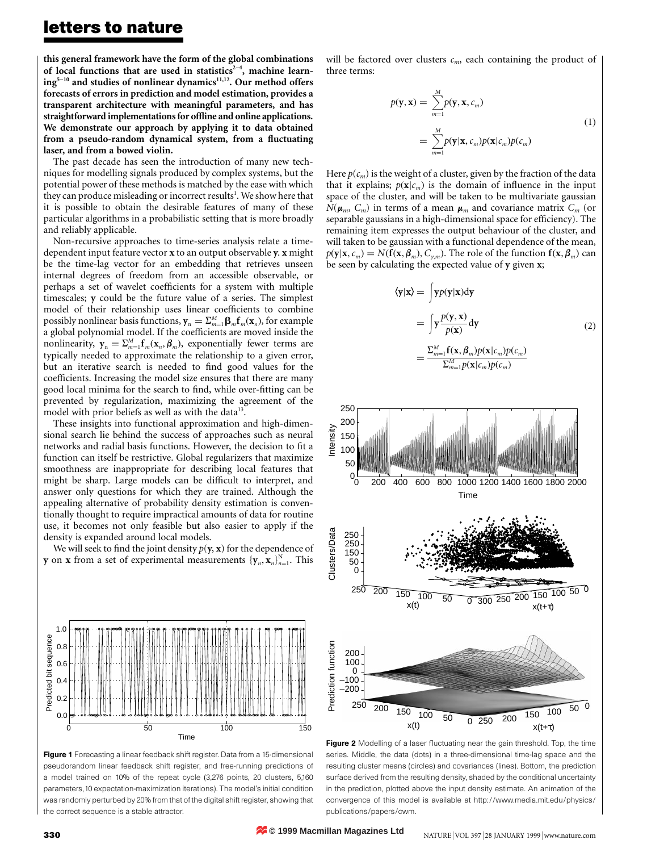## letters to nature

this general framework have the form of the global combinations of local functions that are used in statistics<sup>2-4</sup>, machine learn $ing<sup>5-10</sup>$  and studies of nonlinear dynamics<sup>11,12</sup>. Our method offers forecasts of errors in prediction and model estimation, provides a transparent architecture with meaningful parameters, and has straightforward implementations for offline and online applications. We demonstrate our approach by applying it to data obtained from a pseudo-random dynamical system, from a fluctuating laser, and from a bowed violin.

The past decade has seen the introduction of many new techniques for modelling signals produced by complex systems, but the potential power of these methods is matched by the ease with which they can produce misleading or incorrect results<sup>1</sup>. We show here that it is possible to obtain the desirable features of many of these particular algorithms in a probabilistic setting that is more broadly and reliably applicable.

Non-recursive approaches to time-series analysis relate a timedependent input feature vector x to an output observable y. x might be the time-lag vector for an embedding that retrieves unseen internal degrees of freedom from an accessible observable, or perhaps a set of wavelet coefficients for a system with multiple timescales; y could be the future value of a series. The simplest model of their relationship uses linear coefficients to combine possibly nonlinear basis functions,  $\mathbf{y}_n = \sum_{m=1}^M \mathbf{\beta}_m \mathbf{f}_m(\mathbf{x}_n)$ , for example a global polynomial model. If the coefficients are moved inside the nonlinearity,  $y_n = \sum_{m=1}^{M} f_m(x_n, \beta_m)$ , exponentially fewer terms are typically needed to approximate the relationship to a given error, but an iterative search is needed to find good values for the coefficients. Increasing the model size ensures that there are many good local minima for the search to find, while over-fitting can be prevented by regularization, maximizing the agreement of the model with prior beliefs as well as with the data<sup>13</sup>.

These insights into functional approximation and high-dimensional search lie behind the success of approaches such as neural networks and radial basis functions. However, the decision to fit a function can itself be restrictive. Global regularizers that maximize smoothness are inappropriate for describing local features that might be sharp. Large models can be difficult to interpret, and answer only questions for which they are trained. Although the appealing alternative of probability density estimation is conventionally thought to require impractical amounts of data for routine use, it becomes not only feasible but also easier to apply if the density is expanded around local models.

We will seek to find the joint density  $p(y, x)$  for the dependence of **y** on **x** from a set of experimental measurements  $\{\mathbf{y}_n, \mathbf{x}_n\}_{n=1}^N$ . This



Figure 1 Forecasting a linear feedback shift register. Data from a 15-dimensional pseudorandom linear feedback shift register, and free-running predictions of a model trained on 10% of the repeat cycle (3,276 points, 20 clusters, 5,160 parameters,10 expectation-maximization iterations). The model's initial condition was randomly perturbed by 20% from that of the digital shift register, showing that the correct sequence is a stable attractor.

will be factored over clusters  $c_m$ , each containing the product of three terms:

$$
p(\mathbf{y}, \mathbf{x}) = \sum_{m=1}^{M} p(\mathbf{y}, \mathbf{x}, c_m)
$$
  
= 
$$
\sum_{m=1}^{M} p(\mathbf{y} | \mathbf{x}, c_m) p(\mathbf{x} | c_m) p(c_m)
$$
 (1)

Here  $p(c_m)$  is the weight of a cluster, given by the fraction of the data that it explains;  $p(\mathbf{x}|c_m)$  is the domain of influence in the input space of the cluster, and will be taken to be multivariate gaussian  $N(\mu_m, C_m)$  in terms of a mean  $\mu_m$  and covariance matrix  $C_m$  (or separable gaussians in a high-dimensional space for efficiency). The remaining item expresses the output behaviour of the cluster, and will taken to be gaussian with a functional dependence of the mean,  $p(\mathbf{y}|\mathbf{x}, c_m) = N(\mathbf{f}(\mathbf{x}, \boldsymbol{\beta}_m), C_{v,m})$ . The role of the function  $\mathbf{f}(\mathbf{x}, \boldsymbol{\beta}_m)$  can be seen by calculating the expected value of y given x;

$$
\langle \mathbf{y} | \mathbf{x} \rangle = \int y p(\mathbf{y} | \mathbf{x}) \, d\mathbf{y}
$$
  
= 
$$
\int y \frac{p(\mathbf{y}, \mathbf{x})}{p(\mathbf{x})} \, d\mathbf{y}
$$
  
= 
$$
\frac{\sum_{m=1}^{M} \mathbf{f}(\mathbf{x}, \beta_m) p(\mathbf{x} | c_m) p(c_m)}{\sum_{m=1}^{M} p(\mathbf{x} | c_m) p(c_m)}
$$
 (2)



Figure 2 Modelling of a laser fluctuating near the gain threshold. Top, the time series. Middle, the data (dots) in a three-dimensional time-lag space and the resulting cluster means (circles) and covariances (lines). Bottom, the prediction surface derived from the resulting density, shaded by the conditional uncertainty in the prediction, plotted above the input density estimate. An animation of the convergence of this model is available at http://www.media.mit.edu/physics/ publications/papers/cwm.

**© 1999 Macmillan Magazines Ltd**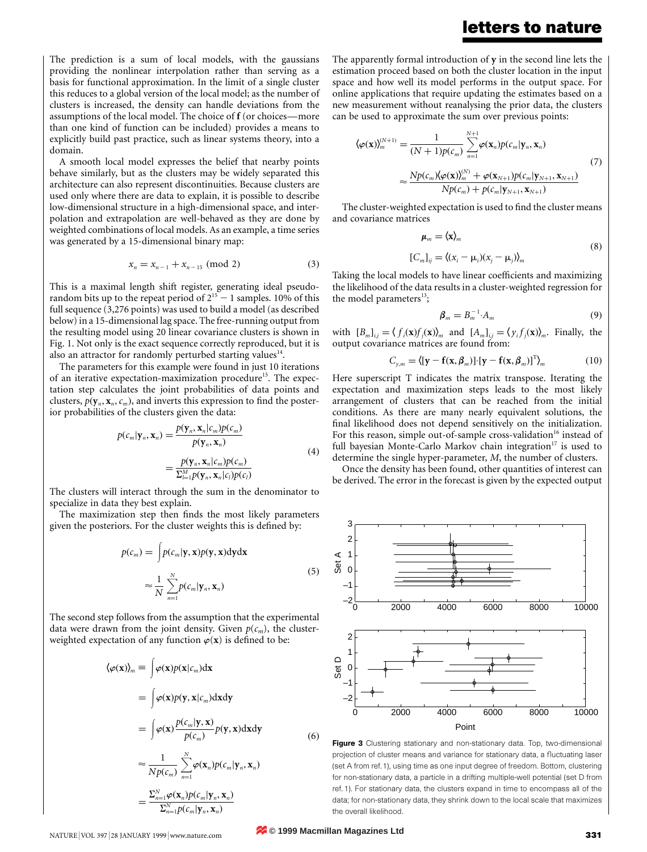### letters to nature

The prediction is a sum of local models, with the gaussians providing the nonlinear interpolation rather than serving as a basis for functional approximation. In the limit of a single cluster this reduces to a global version of the local model; as the number of clusters is increased, the density can handle deviations from the assumptions of the local model. The choice of f (or choices—more than one kind of function can be included) provides a means to explicitly build past practice, such as linear systems theory, into a domain.

A smooth local model expresses the belief that nearby points behave similarly, but as the clusters may be widely separated this architecture can also represent discontinuities. Because clusters are used only where there are data to explain, it is possible to describe low-dimensional structure in a high-dimensional space, and interpolation and extrapolation are well-behaved as they are done by weighted combinations of local models. As an example, a time series was generated by a 15-dimensional binary map:

$$
x_n = x_{n-1} + x_{n-15} \pmod{2} \tag{3}
$$

This is a maximal length shift register, generating ideal pseudorandom bits up to the repeat period of  $2^{15} - 1$  samples. 10% of this full sequence (3,276 points) was used to build a model (as described below) in a 15-dimensional lag space. The free-running output from the resulting model using 20 linear covariance clusters is shown in Fig. 1. Not only is the exact sequence correctly reproduced, but it is also an attractor for randomly perturbed starting values $14$ .

The parameters for this example were found in just 10 iterations of an iterative expectation-maximization procedure<sup>15</sup>. The expectation step calculates the joint probabilities of data points and clusters,  $p(\mathbf{y}_n, \mathbf{x}_n, c_m)$ , and inverts this expression to find the posterior probabilities of the clusters given the data:

$$
p(c_m|\mathbf{y}_n, \mathbf{x}_n) = \frac{p(\mathbf{y}_n, \mathbf{x}_n|c_m)p(c_m)}{p(\mathbf{y}_n, \mathbf{x}_n)}
$$
  
= 
$$
\frac{p(\mathbf{y}_n, \mathbf{x}_n|c_m)p(c_m)}{\sum_{l=1}^M p(\mathbf{y}_n, \mathbf{x}_n|c_l)p(c_l)}
$$
(4)

The clusters will interact through the sum in the denominator to specialize in data they best explain.

The maximization step then finds the most likely parameters given the posteriors. For the cluster weights this is defined by:

$$
p(c_m) = \int p(c_m|\mathbf{y}, \mathbf{x})p(\mathbf{y}, \mathbf{x})d\mathbf{y}d\mathbf{x}
$$
  
\n
$$
\approx \frac{1}{N} \sum_{n=1}^{N} p(c_m|\mathbf{y}_n, \mathbf{x}_n)
$$
\n(5)

The second step follows from the assumption that the experimental data were drawn from the joint density. Given  $p(c_m)$ , the clusterweighted expectation of any function  $\varphi(x)$  is defined to be:

$$
\langle \varphi(\mathbf{x}) \rangle_m \equiv \int \varphi(\mathbf{x}) p(\mathbf{x}|c_m) d\mathbf{x}
$$
  
\n
$$
= \int \varphi(\mathbf{x}) p(\mathbf{y}, \mathbf{x}|c_m) d\mathbf{x} d\mathbf{y}
$$
  
\n
$$
= \int \varphi(\mathbf{x}) \frac{p(c_m|\mathbf{y}, \mathbf{x})}{p(c_m)} p(\mathbf{y}, \mathbf{x}) d\mathbf{x} d\mathbf{y}
$$
  
\n
$$
\approx \frac{1}{N p(c_m)} \sum_{n=1}^N \varphi(\mathbf{x}_n) p(c_m|\mathbf{y}_n, \mathbf{x}_n)
$$
  
\n
$$
= \frac{\sum_{n=1}^N \varphi(\mathbf{x}_n) p(c_m|\mathbf{y}_n, \mathbf{x}_n)}{\sum_{n=1}^N p(c_m|\mathbf{y}_n, \mathbf{x}_n)}
$$
 (6)

The apparently formal introduction of y in the second line lets the estimation proceed based on both the cluster location in the input space and how well its model performs in the output space. For online applications that require updating the estimates based on a new measurement without reanalysing the prior data, the clusters can be used to approximate the sum over previous points:

$$
\langle \varphi(\mathbf{x}) \rangle_{m}^{(N+1)} = \frac{1}{(N+1)p(c_{m})} \sum_{n=1}^{N+1} \varphi(\mathbf{x}_{n}) p(c_{m} | \mathbf{y}_{n}, \mathbf{x}_{n})
$$
  

$$
\approx \frac{Np(c_{m}) \langle \varphi(\mathbf{x}) \rangle_{m}^{(N)} + \varphi(\mathbf{x}_{N+1}) p(c_{m} | \mathbf{y}_{N+1}, \mathbf{x}_{N+1})}{Np(c_{m}) + p(c_{m} | \mathbf{y}_{N+1}, \mathbf{x}_{N+1})}
$$
(7)

The cluster-weighted expectation is used to find the cluster means and covariance matrices

$$
\mu_m = \langle \mathbf{x} \rangle_m
$$
  
\n
$$
[C_m]_{ij} = \langle (x_i - \mu_i)(x_j - \mu_j) \rangle_m
$$
\n(8)

Taking the local models to have linear coefficients and maximizing the likelihood of the data results in a cluster-weighted regression for the model parameters<sup>13</sup>;

$$
\beta_m = B_m^{-1} \cdot A_m \tag{9}
$$

with  $[B_m]_{i,j} = \langle f_i(\mathbf{x}) f_j(\mathbf{x}) \rangle_m$  and  $[A_m]_{i,j} = \langle y_i f_j(\mathbf{x}) \rangle_m$ . Finally, the output covariance matrices are found from:

$$
C_{y,m} = \langle [\mathbf{y} - \mathbf{f}(\mathbf{x}, \boldsymbol{\beta}_m)] \cdot [\mathbf{y} - \mathbf{f}(\mathbf{x}, \boldsymbol{\beta}_m)]^T \rangle_m \tag{10}
$$

Here superscript T indicates the matrix transpose. Iterating the expectation and maximization steps leads to the most likely arrangement of clusters that can be reached from the initial conditions. As there are many nearly equivalent solutions, the final likelihood does not depend sensitively on the initialization. For this reason, simple out-of-sample cross-validation<sup>16</sup> instead of full bayesian Monte-Carlo Markov chain integration<sup>17</sup> is used to determine the single hyper-parameter, M, the number of clusters.

Once the density has been found, other quantities of interest can be derived. The error in the forecast is given by the expected output



Figure 3 Clustering stationary and non-stationary data. Top, two-dimensional projection of cluster means and variance for stationary data, a fluctuating laser (set A from ref. 1), using time as one input degree of freedom. Bottom, clustering for non-stationary data, a particle in a drifting multiple-well potential (set D from ref. 1). For stationary data, the clusters expand in time to encompass all of the data; for non-stationary data, they shrink down to the local scale that maximizes the overall likelihood.

 $NATURE | VOL. 397 | 28 JANUARY 1999 | www.nature.com$  331